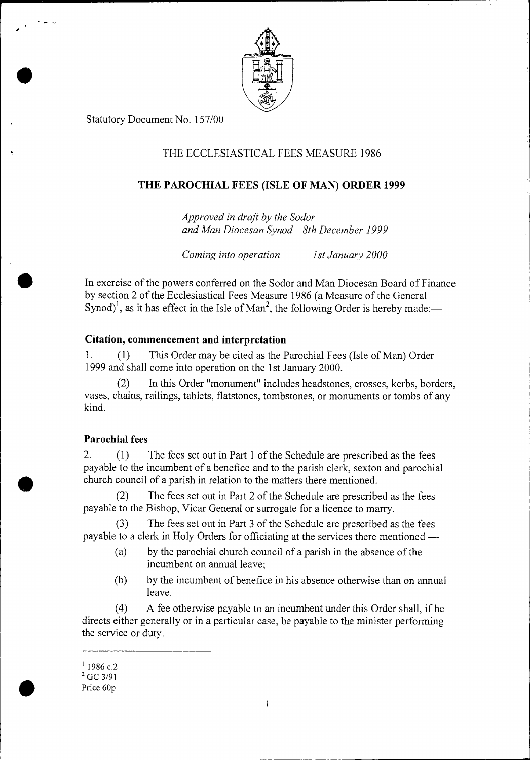

Statutory Document No. 157/00

# THE ECCLESIASTICAL FEES MEASURE 1986

# **THE PAROCHIAL FEES (ISLE OF MAN) ORDER 1999**

*Approved in draft by the Sodor and Man Diocesan Synod 8th December 1999* 

*Coming into operation 1st January 2000* 

In exercise of the powers conferred on the Sodor and Man Diocesan Board of Finance by section 2 of the Ecclesiastical Fees Measure 1986 (a Measure of the General Synod)<sup>1</sup>, as it has effect in the Isle of Man<sup>2</sup>, the following Order is hereby made:—

## **Citation, commencement and interpretation**

1. (1) This Order may be cited as the Parochial Fees (Isle of Man) Order 1999 and shall come into operation on the 1st January 2000.

(2) In this Order "monument" includes headstones, crosses, kerbs, borders, vases, chains, railings, tablets, flatstones, tombstones, or monuments or tombs of any kind.

## **Parochial fees**

2. (1) The fees set out in Part 1 of the Schedule are prescribed as the fees payable to the incumbent of a benefice and to the parish clerk, sexton and parochial church council of a parish in relation to the matters there mentioned.

(2) The fees set out in Part 2 of the Schedule are prescribed as the fees payable to the Bishop, Vicar General or surrogate for a licence to marry.

(3) The fees set out in Part 3 of the Schedule are prescribed as the fees payable to a clerk in Holy Orders for officiating at the services there mentioned -

- (a) by the parochial church council of a parish in the absence of the incumbent on annual leave;
- (b) by the incumbent of benefice in his absence otherwise than on annual leave.

(4) A fee otherwise payable to an incumbent under this Order shall, if he directs either generally or in a particular case, be payable to the minister performing the service or duty.

 $^{1}$  1986 c.2<br><sup>2</sup> GC 3/91

 $^{1}$  1986 c.2<br>  $^{2}$  GC 3/91<br>
Price 60p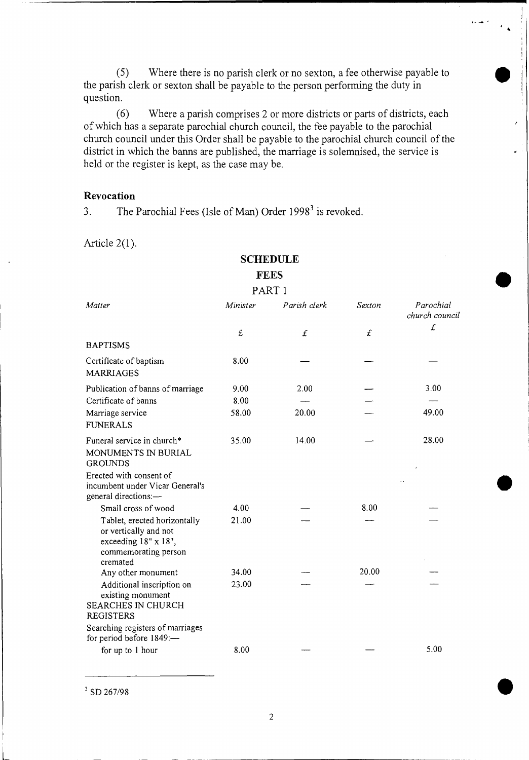(5) Where there is no parish clerk or no sexton, a fee otherwise payable to the parish clerk or sexton shall be payable to the person performing the duty in question.

(6) Where a parish comprises 2 or more districts or parts of districts, each of which has a separate parochial church council, the fee payable to the parochial church council under this Order shall be payable to the parochial church council of the district in which the banns are published, the marriage is solemnised, the service is held or the register is kept, as the case may be.

### **Revocation**

3. The Parochial Fees (Isle of Man) Order  $1998<sup>3</sup>$  is revoked.

Article 2(1).

# **SCHEDULE FEES**

#### PART 1

| ۰. |
|----|
|----|

|                                                                                                                   | T WIZT   | $\mathbf{I}$ |           |                             |
|-------------------------------------------------------------------------------------------------------------------|----------|--------------|-----------|-----------------------------|
| Matter                                                                                                            | Minister | Parish clerk | Sexton    | Parochial<br>church council |
|                                                                                                                   | £        | £            | $\pounds$ | £                           |
| <b>BAPTISMS</b>                                                                                                   |          |              |           |                             |
| Certificate of baptism<br><b>MARRIAGES</b>                                                                        | 8.00     |              |           |                             |
| Publication of banns of marriage                                                                                  | 9.00     | 2.00         |           | 3.00                        |
| Certificate of banns                                                                                              | 8.00     |              |           |                             |
| Marriage service<br><b>FUNERALS</b>                                                                               | 58.00    | 20.00        |           | 49.00                       |
| Funeral service in church*<br>MONUMENTS IN BURIAL<br><b>GROUNDS</b>                                               | 35.00    | 14.00        |           | 28.00                       |
| Erected with consent of<br>incumbent under Vicar General's<br>general directions:-                                |          |              |           |                             |
| Small cross of wood                                                                                               | 4.00     |              | 8.00      |                             |
| Tablet, erected horizontally<br>or vertically and not<br>exceeding 18" x 18",<br>commemorating person<br>cremated | 21.00    |              |           |                             |
| Any other monument                                                                                                | 34.00    |              | 20.00     |                             |
| Additional inscription on<br>existing monument<br><b>SEARCHES IN CHURCH</b><br><b>REGISTERS</b>                   | 23.00    |              |           |                             |
| Searching registers of marriages<br>for period before 1849:-                                                      |          |              |           |                             |
| for up to 1 hour                                                                                                  | 8.00     |              |           | 5.00                        |

 $3$  SD 267/98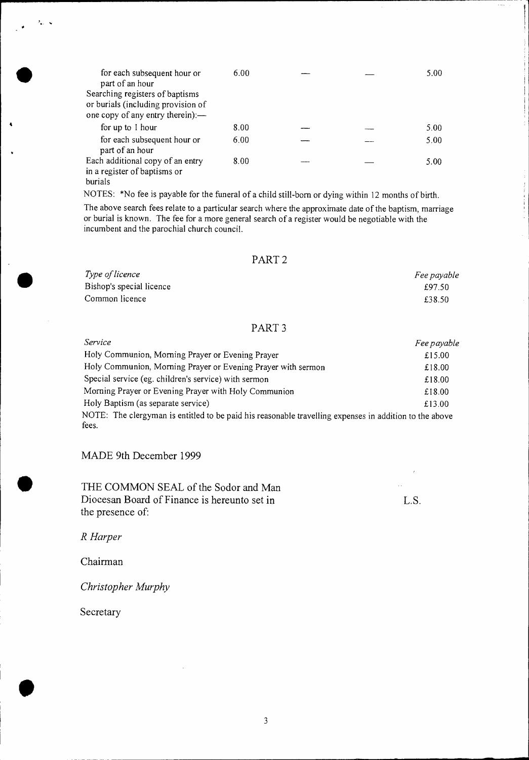| for each subsequent hour or<br>part of an hour<br>Searching registers of baptisms<br>or burials (including provision of<br>one copy of any entry therein):- | 6.00 |  | 5.00 |
|-------------------------------------------------------------------------------------------------------------------------------------------------------------|------|--|------|
| for up to 1 hour                                                                                                                                            | 8.00 |  | 5.00 |
| for each subsequent hour or<br>part of an hour                                                                                                              | 6.00 |  | 5.00 |
| Each additional copy of an entry<br>in a register of baptisms or<br>burials                                                                                 | 8.00 |  | 5.00 |

NOTES: \*No fee is payable for the funeral of a child still-born or dying within 12 months of birth.

The above search fees relate to a particular search where the approximate date of the baptism, marriage or burial is known. The fee for a more general search of a register would be negotiable with the incumbent and the parochial church council.

#### PART 2

| Type of licence          | <i>Fee payable</i> |
|--------------------------|--------------------|
| Bishop's special licence | £97.50             |
| Common licence           | £38.50             |

## PART 3

**Service** Fee payable **Fee payable** Holy Communion, Morning Prayer or Evening Prayer **Exercise 215.00** Holy Communion, Morning Prayer or Evening Prayer with sermon  $£18.00$ Special service (eg. children's service) with sermon  $£18.00$ Morning Prayer or Evening Prayer with Holy Communion £18.00 Holy Baptism (as separate service)  $\qquad 213.00$ NOTE: The clergyman is entitled to be paid his reasonable travelling expenses in addition to the above fees.

#### MADE 9th December 1999

THE COMMON SEAL of the Sodor and Man Diocesan Board of Finance is hereunto set in L.S. the presence of:

*R Harper* 

Chairman

*Christopher Murphy* 

Secretary